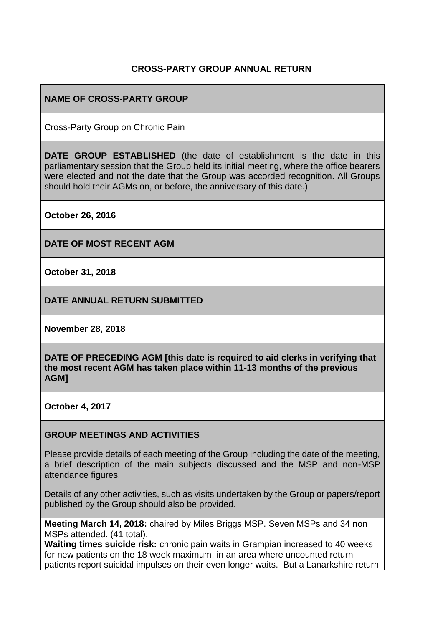### **CROSS-PARTY GROUP ANNUAL RETURN**

### **NAME OF CROSS-PARTY GROUP**

Cross-Party Group on Chronic Pain

**DATE GROUP ESTABLISHED** (the date of establishment is the date in this parliamentary session that the Group held its initial meeting, where the office bearers were elected and not the date that the Group was accorded recognition. All Groups should hold their AGMs on, or before, the anniversary of this date.)

**October 26, 2016**

**DATE OF MOST RECENT AGM**

**October 31, 2018**

**DATE ANNUAL RETURN SUBMITTED**

**November 28, 2018**

**DATE OF PRECEDING AGM [this date is required to aid clerks in verifying that the most recent AGM has taken place within 11-13 months of the previous AGM]**

**October 4, 2017**

#### **GROUP MEETINGS AND ACTIVITIES**

Please provide details of each meeting of the Group including the date of the meeting, a brief description of the main subjects discussed and the MSP and non-MSP attendance figures.

Details of any other activities, such as visits undertaken by the Group or papers/report published by the Group should also be provided.

**Meeting March 14, 2018:** chaired by Miles Briggs MSP. Seven MSPs and 34 non MSPs attended. (41 total).

**Waiting times suicide risk:** chronic pain waits in Grampian increased to 40 weeks for new patients on the 18 week maximum, in an area where uncounted return patients report suicidal impulses on their even longer waits. But a Lanarkshire return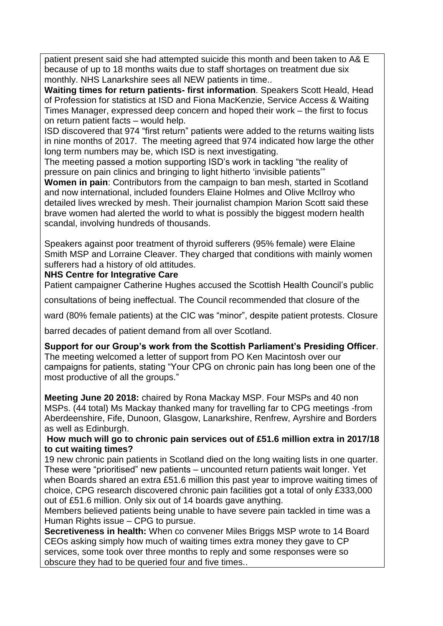patient present said she had attempted suicide this month and been taken to A& E because of up to 18 months waits due to staff shortages on treatment due six monthly. NHS Lanarkshire sees all NEW patients in time..

**Waiting times for return patients- first information**. Speakers Scott Heald, Head of Profession for statistics at ISD and Fiona MacKenzie, Service Access & Waiting Times Manager, expressed deep concern and hoped their work – the first to focus on return patient facts – would help.

ISD discovered that 974 "first return" patients were added to the returns waiting lists in nine months of 2017. The meeting agreed that 974 indicated how large the other long term numbers may be, which ISD is next investigating.

The meeting passed a motion supporting ISD's work in tackling "the reality of pressure on pain clinics and bringing to light hitherto 'invisible patients'"

**Women in pain**: Contributors from the campaign to ban mesh, started in Scotland and now international, included founders Elaine Holmes and Olive McIlroy who detailed lives wrecked by mesh. Their journalist champion Marion Scott said these brave women had alerted the world to what is possibly the biggest modern health scandal, involving hundreds of thousands.

Speakers against poor treatment of thyroid sufferers (95% female) were Elaine Smith MSP and Lorraine Cleaver. They charged that conditions with mainly women sufferers had a history of old attitudes.

### **NHS Centre for Integrative Care**

Patient campaigner Catherine Hughes accused the Scottish Health Council's public

consultations of being ineffectual. The Council recommended that closure of the

ward (80% female patients) at the CIC was "minor", despite patient protests. Closure

barred decades of patient demand from all over Scotland.

**Support for our Group's work from the Scottish Parliament's Presiding Officer**. The meeting welcomed a letter of support from PO Ken Macintosh over our campaigns for patients, stating "Your CPG on chronic pain has long been one of the most productive of all the groups."

**Meeting June 20 2018:** chaired by Rona Mackay MSP. Four MSPs and 40 non MSPs. (44 total) Ms Mackay thanked many for travelling far to CPG meetings -from Aberdeenshire, Fife, Dunoon, Glasgow, Lanarkshire, Renfrew, Ayrshire and Borders as well as Edinburgh.

### **How much will go to chronic pain services out of £51.6 million extra in 2017/18 to cut waiting times?**

19 new chronic pain patients in Scotland died on the long waiting lists in one quarter. These were "prioritised" new patients – uncounted return patients wait longer. Yet when Boards shared an extra £51.6 million this past year to improve waiting times of choice, CPG research discovered chronic pain facilities got a total of only £333,000 out of £51.6 million. Only six out of 14 boards gave anything.

Members believed patients being unable to have severe pain tackled in time was a Human Rights issue – CPG to pursue.

**Secretiveness in health:** When co convener Miles Briggs MSP wrote to 14 Board CEOs asking simply how much of waiting times extra money they gave to CP services, some took over three months to reply and some responses were so obscure they had to be queried four and five times..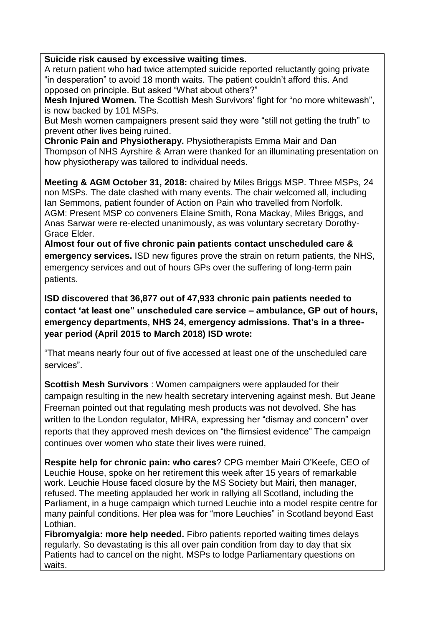### **Suicide risk caused by excessive waiting times.**

A return patient who had twice attempted suicide reported reluctantly going private "in desperation" to avoid 18 month waits. The patient couldn't afford this. And opposed on principle. But asked "What about others?"

**Mesh Injured Women.** The Scottish Mesh Survivors' fight for "no more whitewash", is now backed by 101 MSPs.

But Mesh women campaigners present said they were "still not getting the truth" to prevent other lives being ruined.

**Chronic Pain and Physiotherapy.** Physiotherapists Emma Mair and Dan Thompson of NHS Ayrshire & Arran were thanked for an illuminating presentation on how physiotherapy was tailored to individual needs.

**Meeting & AGM October 31, 2018:** chaired by Miles Briggs MSP. Three MSPs, 24 non MSPs. The date clashed with many events. The chair welcomed all, including Ian Semmons, patient founder of Action on Pain who travelled from Norfolk. AGM: Present MSP co conveners Elaine Smith, Rona Mackay, Miles Briggs, and Anas Sarwar were re-elected unanimously, as was voluntary secretary Dorothy-Grace Elder.

**Almost four out of five chronic pain patients contact unscheduled care & emergency services.** ISD new figures prove the strain on return patients, the NHS, emergency services and out of hours GPs over the suffering of long-term pain patients.

**ISD discovered that 36,877 out of 47,933 chronic pain patients needed to contact 'at least one" unscheduled care service – ambulance, GP out of hours, emergency departments, NHS 24, emergency admissions. That's in a threeyear period (April 2015 to March 2018) ISD wrote:**

"That means nearly four out of five accessed at least one of the unscheduled care services".

**Scottish Mesh Survivors** : Women campaigners were applauded for their campaign resulting in the new health secretary intervening against mesh. But Jeane Freeman pointed out that regulating mesh products was not devolved. She has written to the London regulator, MHRA, expressing her "dismay and concern" over reports that they approved mesh devices on "the flimsiest evidence" The campaign continues over women who state their lives were ruined,

**Respite help for chronic pain: who cares**? CPG member Mairi O'Keefe, CEO of Leuchie House, spoke on her retirement this week after 15 years of remarkable work. Leuchie House faced closure by the MS Society but Mairi, then manager, refused. The meeting applauded her work in rallying all Scotland, including the Parliament, in a huge campaign which turned Leuchie into a model respite centre for many painful conditions. Her plea was for "more Leuchies" in Scotland beyond East Lothian.

**Fibromyalgia: more help needed.** Fibro patients reported waiting times delays regularly. So devastating is this all over pain condition from day to day that six Patients had to cancel on the night. MSPs to lodge Parliamentary questions on waits.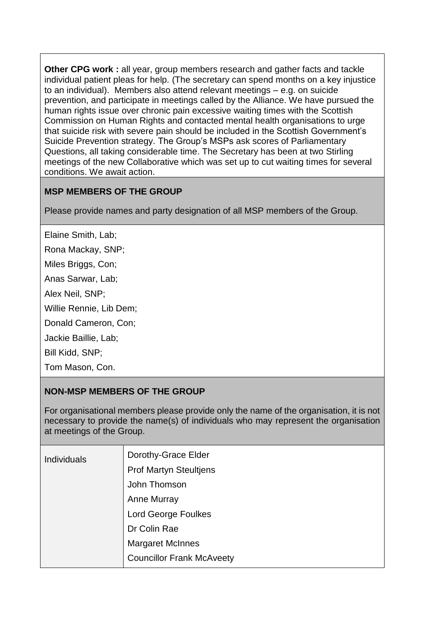**Other CPG work :** all year, group members research and gather facts and tackle individual patient pleas for help. (The secretary can spend months on a key injustice to an individual). Members also attend relevant meetings – e.g. on suicide prevention, and participate in meetings called by the Alliance. We have pursued the human rights issue over chronic pain excessive waiting times with the Scottish Commission on Human Rights and contacted mental health organisations to urge that suicide risk with severe pain should be included in the Scottish Government's Suicide Prevention strategy. The Group's MSPs ask scores of Parliamentary Questions, all taking considerable time. The Secretary has been at two Stirling meetings of the new Collaborative which was set up to cut waiting times for several conditions. We await action.

# **MSP MEMBERS OF THE GROUP**

Please provide names and party designation of all MSP members of the Group.

Elaine Smith, Lab;

Rona Mackay, SNP;

Miles Briggs, Con;

Anas Sarwar, Lab;

Alex Neil, SNP;

Willie Rennie, Lib Dem;

Donald Cameron, Con;

Jackie Baillie, Lab;

Bill Kidd, SNP;

Tom Mason, Con.

### **NON-MSP MEMBERS OF THE GROUP**

For organisational members please provide only the name of the organisation, it is not necessary to provide the name(s) of individuals who may represent the organisation at meetings of the Group.

| <b>Individuals</b> | Dorothy-Grace Elder              |
|--------------------|----------------------------------|
|                    | <b>Prof Martyn Steultjens</b>    |
|                    | John Thomson                     |
|                    | <b>Anne Murray</b>               |
|                    | <b>Lord George Foulkes</b>       |
|                    | Dr Colin Rae                     |
|                    | <b>Margaret McInnes</b>          |
|                    | <b>Councillor Frank McAveety</b> |
|                    |                                  |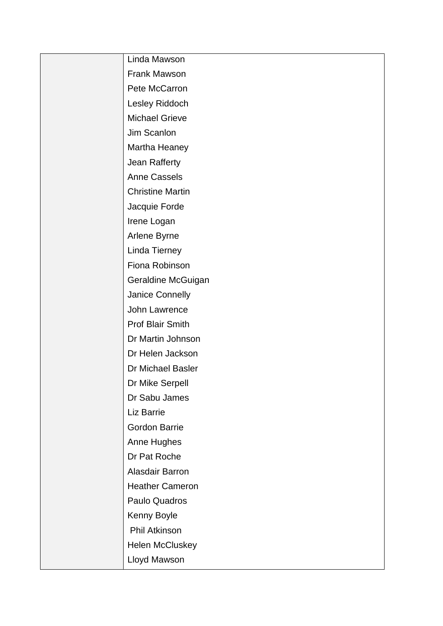| Linda Mawson            |
|-------------------------|
| Frank Mawson            |
| Pete McCarron           |
| Lesley Riddoch          |
| <b>Michael Grieve</b>   |
| Jim Scanlon             |
| Martha Heaney           |
| Jean Rafferty           |
| <b>Anne Cassels</b>     |
| <b>Christine Martin</b> |
| Jacquie Forde           |
| Irene Logan             |
| Arlene Byrne            |
| Linda Tierney           |
| Fiona Robinson          |
| Geraldine McGuigan      |
| Janice Connelly         |
| John Lawrence           |
| Prof Blair Smith        |
| Dr Martin Johnson       |
| Dr Helen Jackson        |
| Dr Michael Basler       |
| Dr Mike Serpell         |
| Dr Sabu James           |
| Liz Barrie              |
| <b>Gordon Barrie</b>    |
| Anne Hughes             |
| Dr Pat Roche            |
| Alasdair Barron         |
| <b>Heather Cameron</b>  |
| Paulo Quadros           |
| Kenny Boyle             |
| Phil Atkinson           |
| Helen McCluskey         |
| Lloyd Mawson            |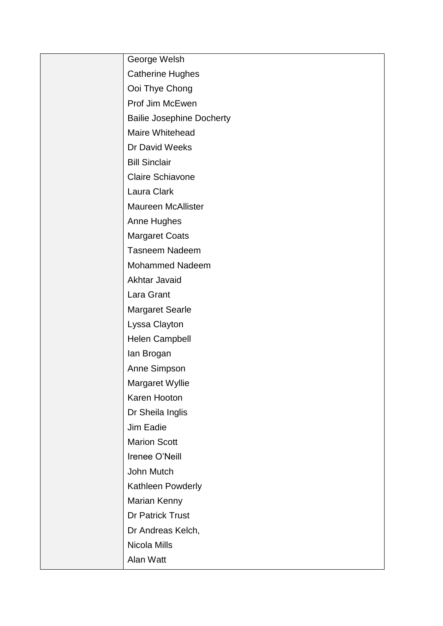| George Welsh                     |
|----------------------------------|
| <b>Catherine Hughes</b>          |
| Ooi Thye Chong                   |
| Prof Jim McEwen                  |
| <b>Bailie Josephine Docherty</b> |
| Maire Whitehead                  |
| Dr David Weeks                   |
| <b>Bill Sinclair</b>             |
| <b>Claire Schiavone</b>          |
| Laura Clark                      |
| <b>Maureen McAllister</b>        |
| Anne Hughes                      |
| <b>Margaret Coats</b>            |
| <b>Tasneem Nadeem</b>            |
| <b>Mohammed Nadeem</b>           |
| Akhtar Javaid                    |
| Lara Grant                       |
| <b>Margaret Searle</b>           |
| Lyssa Clayton                    |
| Helen Campbell                   |
| lan Brogan                       |
| Anne Simpson                     |
| Margaret Wyllie                  |
| Karen Hooton                     |
| Dr Sheila Inglis                 |
| Jim Eadie                        |
| <b>Marion Scott</b>              |
| Irenee O'Neill                   |
| John Mutch                       |
| Kathleen Powderly                |
| Marian Kenny                     |
| Dr Patrick Trust                 |
| Dr Andreas Kelch,                |
| Nicola Mills                     |
| Alan Watt                        |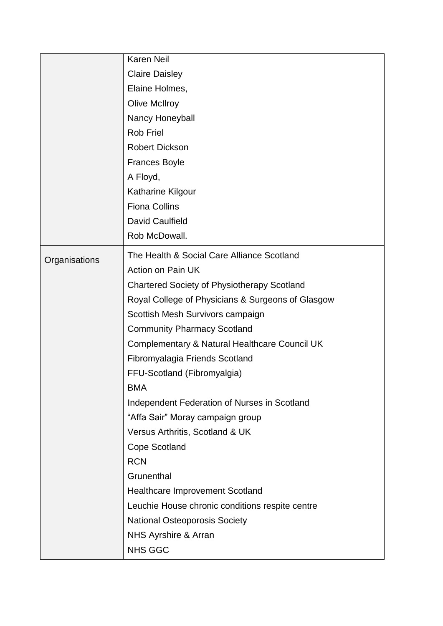|               | <b>Karen Neil</b>                                  |
|---------------|----------------------------------------------------|
|               | <b>Claire Daisley</b>                              |
|               | Elaine Holmes,                                     |
|               | <b>Olive McIlroy</b>                               |
|               | Nancy Honeyball                                    |
|               | <b>Rob Friel</b>                                   |
|               | <b>Robert Dickson</b>                              |
|               | Frances Boyle                                      |
|               | A Floyd,                                           |
|               | Katharine Kilgour                                  |
|               | <b>Fiona Collins</b>                               |
|               | <b>David Caulfield</b>                             |
|               | Rob McDowall.                                      |
| Organisations | The Health & Social Care Alliance Scotland         |
|               | Action on Pain UK                                  |
|               | <b>Chartered Society of Physiotherapy Scotland</b> |
|               | Royal College of Physicians & Surgeons of Glasgow  |
|               | Scottish Mesh Survivors campaign                   |
|               | <b>Community Pharmacy Scotland</b>                 |
|               | Complementary & Natural Healthcare Council UK      |
|               | Fibromyalagia Friends Scotland                     |
|               | FFU-Scotland (Fibromyalgia)                        |
|               | <b>BMA</b>                                         |
|               | Independent Federation of Nurses in Scotland       |
|               | "Affa Sair" Moray campaign group                   |
|               | Versus Arthritis, Scotland & UK                    |
|               | <b>Cope Scotland</b>                               |
|               | <b>RCN</b>                                         |
|               | Grunenthal                                         |
|               | <b>Healthcare Improvement Scotland</b>             |
|               | Leuchie House chronic conditions respite centre    |
|               | <b>National Osteoporosis Society</b>               |
|               | NHS Ayrshire & Arran                               |
|               | <b>NHS GGC</b>                                     |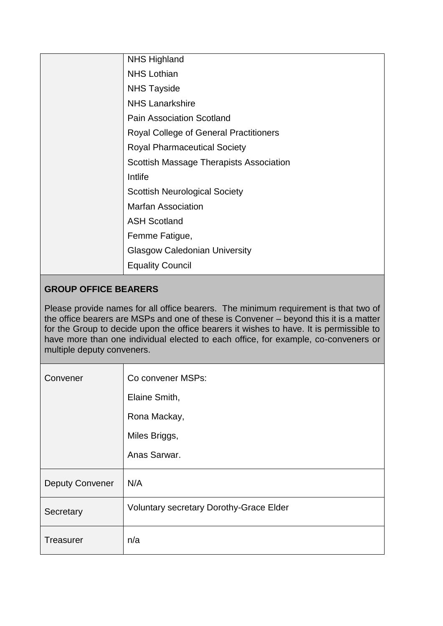| <b>NHS Highland</b>                           |
|-----------------------------------------------|
| <b>NHS Lothian</b>                            |
| <b>NHS Tayside</b>                            |
| <b>NHS Lanarkshire</b>                        |
| <b>Pain Association Scotland</b>              |
| <b>Royal College of General Practitioners</b> |
| <b>Royal Pharmaceutical Society</b>           |
| Scottish Massage Therapists Association       |
| Intlife                                       |
| <b>Scottish Neurological Society</b>          |
| <b>Marfan Association</b>                     |
| <b>ASH Scotland</b>                           |
| Femme Fatigue,                                |
| <b>Glasgow Caledonian University</b>          |
| <b>Equality Council</b>                       |

# **GROUP OFFICE BEARERS**

Please provide names for all office bearers. The minimum requirement is that two of the office bearers are MSPs and one of these is Convener – beyond this it is a matter for the Group to decide upon the office bearers it wishes to have. It is permissible to have more than one individual elected to each office, for example, co-conveners or multiple deputy conveners.

| Convener               | Co convener MSPs:                              |
|------------------------|------------------------------------------------|
|                        | Elaine Smith,                                  |
|                        | Rona Mackay,                                   |
|                        | Miles Briggs,                                  |
|                        | Anas Sarwar.                                   |
| <b>Deputy Convener</b> | N/A                                            |
| Secretary              | <b>Voluntary secretary Dorothy-Grace Elder</b> |
| <b>Treasurer</b>       | n/a                                            |